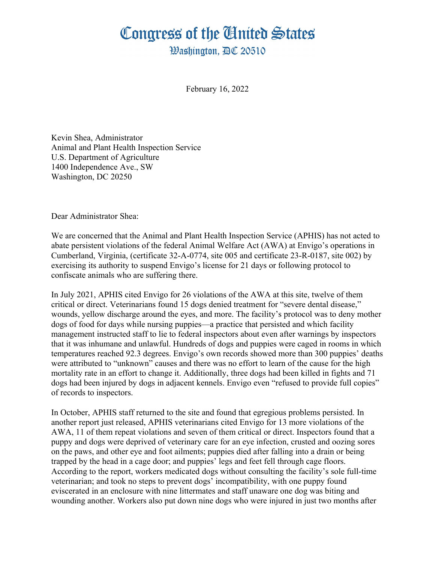## Congress of the Ginited States

**Washington. AC 20510** 

February 16, 2022

Kevin Shea, Administrator Animal and Plant Health Inspection Service U.S. Department of Agriculture 1400 Independence Ave., SW Washington, DC 20250

Dear Administrator Shea:

We are concerned that the Animal and Plant Health Inspection Service (APHIS) has not acted to abate persistent violations of the federal Animal Welfare Act (AWA) at Envigo's operations in Cumberland, Virginia, (certificate 32-A-0774, site 005 and certificate 23-R-0187, site 002) by exercising its authority to suspend Envigo's license for 21 days or following protocol to confiscate animals who are suffering there.

In July 2021, APHIS cited Envigo for 26 violations of the AWA at this site, twelve of them critical or direct. Veterinarians found 15 dogs denied treatment for "severe dental disease," wounds, yellow discharge around the eyes, and more. The facility's protocol was to deny mother dogs of food for days while nursing puppies—a practice that persisted and which facility management instructed staff to lie to federal inspectors about even after warnings by inspectors that it was inhumane and unlawful. Hundreds of dogs and puppies were caged in rooms in which temperatures reached 92.3 degrees. Envigo's own records showed more than 300 puppies' deaths were attributed to "unknown" causes and there was no effort to learn of the cause for the high mortality rate in an effort to change it. Additionally, three dogs had been killed in fights and 71 dogs had been injured by dogs in adjacent kennels. Envigo even "refused to provide full copies" of records to inspectors.

In October, APHIS staff returned to the site and found that egregious problems persisted. In another report just released, APHIS veterinarians cited Envigo for 13 more violations of the AWA, 11 of them repeat violations and seven of them critical or direct. Inspectors found that a puppy and dogs were deprived of veterinary care for an eye infection, crusted and oozing sores on the paws, and other eye and foot ailments; puppies died after falling into a drain or being trapped by the head in a cage door; and puppies' legs and feet fell through cage floors. According to the report, workers medicated dogs without consulting the facility's sole full-time veterinarian; and took no steps to prevent dogs' incompatibility, with one puppy found eviscerated in an enclosure with nine littermates and staff unaware one dog was biting and wounding another. Workers also put down nine dogs who were injured in just two months after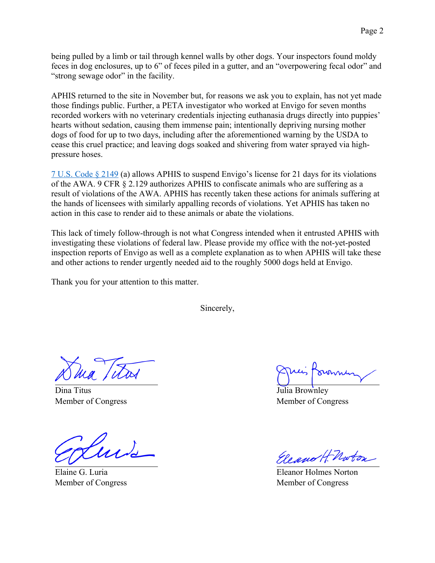being pulled by a limb or tail through kennel walls by other dogs. Your inspectors found moldy feces in dog enclosures, up to 6" of feces piled in a gutter, and an "overpowering fecal odor" and "strong sewage odor" in the facility.

APHIS returned to the site in November but, for reasons we ask you to explain, has not yet made those findings public. Further, a PETA investigator who worked at Envigo for seven months recorded workers with no veterinary credentials injecting euthanasia drugs directly into puppies' hearts without sedation, causing them immense pain; intentionally depriving nursing mother dogs of food for up to two days, including after the aforementioned warning by the USDA to cease this cruel practice; and leaving dogs soaked and shivering from water sprayed via highpressure hoses.

7 U.S. Code § 2149 (a) allows APHIS to suspend Envigo's license for 21 days for its violations of the AWA. 9 CFR § 2.129 authorizes APHIS to confiscate animals who are suffering as a result of violations of the AWA. APHIS has recently taken these actions for animals suffering at the hands of licensees with similarly appalling records of violations. Yet APHIS has taken no action in this case to render aid to these animals or abate the violations.

This lack of timely follow-through is not what Congress intended when it entrusted APHIS with investigating these violations of federal law. Please provide my office with the not-yet-posted inspection reports of Envigo as well as a complete explanation as to when APHIS will take these and other actions to render urgently needed aid to the roughly 5000 dogs held at Envigo.

Thank you for your attention to this matter.

Sincerely,

Dina Titus Member of Congress

Elaine G. Luria Member of Congress

Julia Brownley Member of Congress

Eleano HMoton

Eleanor Holmes Norton Member of Congress